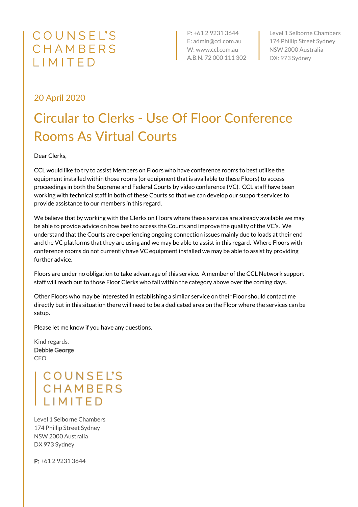## COUNSEL'S CHAMBERS LIMITED

P: +61 2 9231 3644 E: admin@ccl.com.au W: www.ccl.com.au A.B.N. 72 000 111 302 Level 1 Selborne Chambers 174 Phillip Street Sydney NSW 2000 Australia DX: 973 Sydney

## 20 April 2020

## Circular to Clerks - Use Of Floor Conference Rooms As Virtual Courts

Dear Clerks,

CCL would like to try to assist Members on Floors who have conference rooms to best utilise the equipment installed within those rooms (or equipment that is available to these Floors) to access proceedings in both the Supreme and Federal Courts by video conference (VC). CCL staff have been working with technical staff in both of these Courts so that we can develop our support services to provide assistance to our members in this regard.

We believe that by working with the Clerks on Floors where these services are already available we may be able to provide advice on how best to access the Courts and improve the quality of the VC's. We understand that the Courts are experiencing ongoing connection issues mainly due to loads at their end and the VC platforms that they are using and we may be able to assist in this regard. Where Floors with conference rooms do not currently have VC equipment installed we may be able to assist by providing further advice.

Floors are under no obligation to take advantage of this service. A member of the CCL Network support staff will reach out to those Floor Clerks who fall within the category above over the coming days.

Other Floors who may be interested in establishing a similar service on their Floor should contact me directly but in this situation there will need to be a dedicated area on the Floor where the services can be setup.

Please let me know if you have any questions.

Kind regards, Debbie George CEO

> **COUNSEL'S** CHAMBERS IIMITED

Level 1 Selborne Chambers 174 Phillip Street Sydney NSW 2000 Australia DX 973 Sydney

P: +61 2 9231 3644